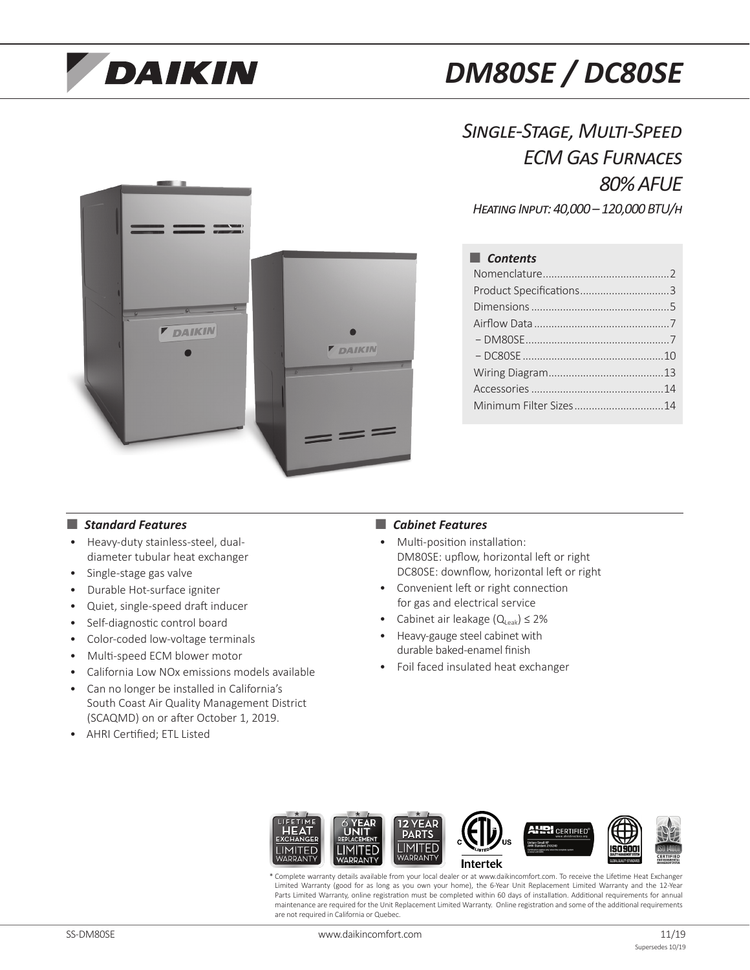# **DAIKIN**

## *DM80SE / DC80SE*

### *Single-Stage, Multi-Speed ECM Gas Furnaces 80% AFUE*

*Heating Input: 40,000 – 120,000 BTU/h*

**F DAIKIN DAIKIN**  $=$   $=$ 

### ■ *Contents*

| Product Specifications3 |  |
|-------------------------|--|
|                         |  |
|                         |  |
|                         |  |
|                         |  |
|                         |  |
|                         |  |
| Minimum Filter Sizes14  |  |
|                         |  |

#### ■ *Standard Features* ■ *Cabinet Features*

- Heavy-duty stainless-steel, dualdiameter tubular heat exchanger
- Single-stage gas valve
- Durable Hot-surface igniter
- Quiet, single-speed draft inducer
- Self-diagnostic control board
- Color-coded low-voltage terminals
- Multi-speed ECM blower motor
- California Low NOx emissions models available
- Can no longer be installed in California's South Coast Air Quality Management District (SCAQMD) on or after October 1, 2019.
- AHRI Certified; ETL Listed

- Multi-position installation: DM80SE: upflow, horizontal left or right DC80SE: downflow, horizontal left or right
- Convenient left or right connection for gas and electrical service
- Cabinet air leakage  $(Q_{\text{Leak}}) \leq 2\%$
- Heavy-gauge steel cabinet with durable baked-enamel finish
- Foil faced insulated heat exchanger



\* Complete warranty details available from your local dealer or at www.daikincomfort.com. To receive the Lifetime Heat Exchanger Limited Warranty (good for as long as you own your home), the 6-Year Unit Replacement Limited Warranty and the 12-Year Parts Limited Warranty, online registration must be completed within 60 days of installation. Additional requirements for annual maintenance are required for the Unit Replacement Limited Warranty. Online registration and some of the additional requirements are not required in California or Quebec.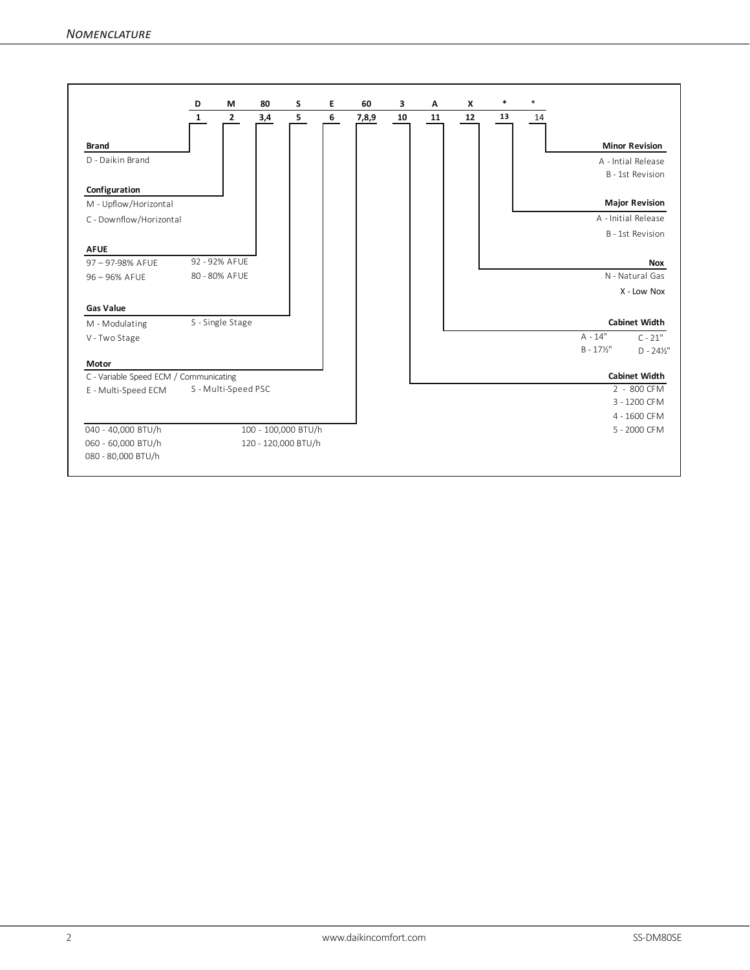|                                        |     |                                         |   | 60                                         | 3  | Α  | X  |    |    |                     |                       |
|----------------------------------------|-----|-----------------------------------------|---|--------------------------------------------|----|----|----|----|----|---------------------|-----------------------|
| $\overline{2}$<br>$\mathbf{1}$         | 3,4 | 5                                       | 6 | 7,8,9                                      | 10 | 11 | 12 | 13 | 14 |                     |                       |
|                                        |     |                                         |   |                                            |    |    |    |    |    |                     |                       |
|                                        |     |                                         |   |                                            |    |    |    |    |    |                     | <b>Minor Revision</b> |
|                                        |     |                                         |   |                                            |    |    |    |    |    |                     | A - Intial Release    |
|                                        |     |                                         |   |                                            |    |    |    |    |    |                     | B - 1st Revision      |
|                                        |     |                                         |   |                                            |    |    |    |    |    |                     |                       |
|                                        |     |                                         |   |                                            |    |    |    |    |    |                     | <b>Major Revision</b> |
|                                        |     |                                         |   |                                            |    |    |    |    |    |                     | A - Initial Release   |
|                                        |     |                                         |   |                                            |    |    |    |    |    |                     | B - 1st Revision      |
|                                        |     |                                         |   |                                            |    |    |    |    |    |                     |                       |
| 92 - 92% AFUE                          |     |                                         |   |                                            |    |    |    |    |    |                     | <b>Nox</b>            |
| 80 - 80% AFUE                          |     |                                         |   |                                            |    |    |    |    |    |                     | N - Natural Gas       |
|                                        |     |                                         |   |                                            |    |    |    |    |    |                     | X - Low Nox           |
|                                        |     |                                         |   |                                            |    |    |    |    |    |                     |                       |
|                                        |     |                                         |   |                                            |    |    |    |    |    |                     | <b>Cabinet Width</b>  |
|                                        |     |                                         |   |                                            |    |    |    |    |    | $A - 14"$           | $C - 21"$             |
|                                        |     |                                         |   |                                            |    |    |    |    |    | $B - 17\frac{1}{2}$ | $D - 24\frac{1}{2}$   |
|                                        |     |                                         |   |                                            |    |    |    |    |    |                     |                       |
| C - Variable Speed ECM / Communicating |     |                                         |   |                                            |    |    |    |    |    |                     | <b>Cabinet Width</b>  |
|                                        |     |                                         |   |                                            |    |    |    |    |    |                     | 2 - 800 CFM           |
|                                        |     |                                         |   |                                            |    |    |    |    |    |                     | 3 - 1200 CFM          |
|                                        |     |                                         |   |                                            |    |    |    |    |    |                     | 4 - 1600 CFM          |
|                                        |     |                                         |   |                                            |    |    |    |    |    |                     | 5 - 2000 CFM          |
|                                        |     |                                         |   |                                            |    |    |    |    |    |                     |                       |
|                                        |     | S - Single Stage<br>S - Multi-Speed PSC |   | 100 - 100,000 BTU/h<br>120 - 120,000 BTU/h |    |    |    |    |    |                     |                       |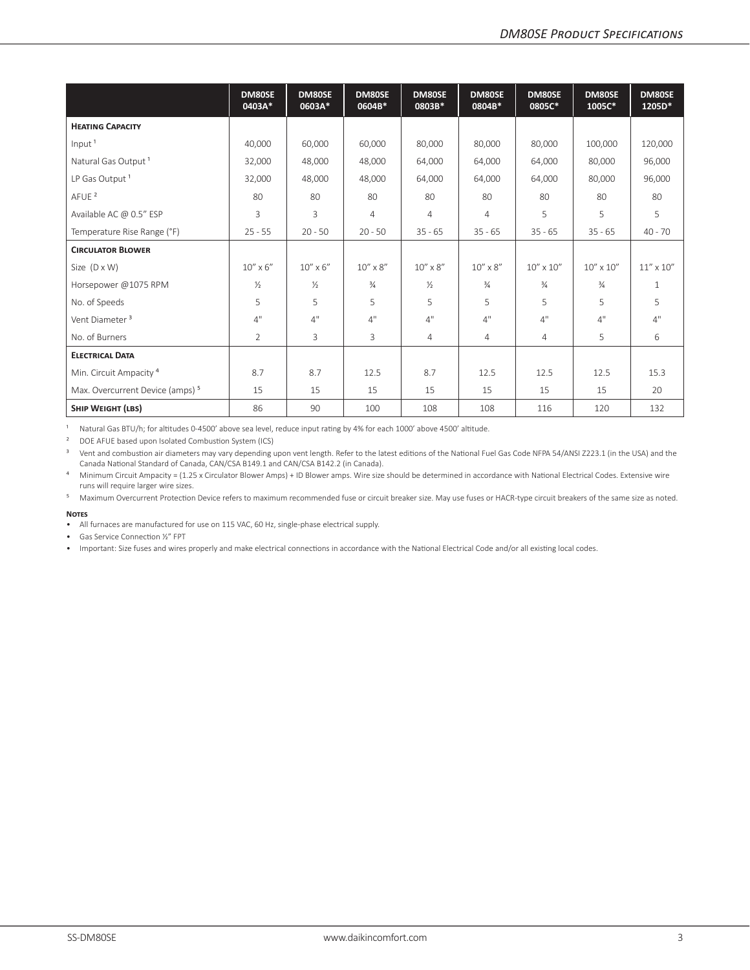|                                             | DM80SE<br>0403A*  | DM80SE<br>0603A*  | DM80SE<br>0604B*  | DM80SE<br>0803B*  | DM80SE<br>0804B* | DM80SE<br>0805C*   | DM80SE<br>1005C*   | DM80SE<br>1205D*   |
|---------------------------------------------|-------------------|-------------------|-------------------|-------------------|------------------|--------------------|--------------------|--------------------|
| <b>HEATING CAPACITY</b>                     |                   |                   |                   |                   |                  |                    |                    |                    |
| Input <sup>1</sup>                          | 40,000            | 60,000            | 60,000            | 80,000            | 80,000           | 80,000             | 100,000            | 120,000            |
| Natural Gas Output <sup>1</sup>             | 32,000            | 48,000            | 48,000            | 64,000            | 64,000           | 64,000             | 80,000             | 96,000             |
| LP Gas Output <sup>1</sup>                  | 32,000            | 48,000            | 48,000            | 64,000            | 64,000           | 64,000             | 80,000             | 96,000             |
| AFUE <sup>2</sup>                           | 80                | 80                | 80                | 80                | 80               | 80                 | 80                 | 80                 |
| Available AC @ 0.5" ESP                     | 3                 | 3                 | $\overline{4}$    | $\overline{4}$    | $\overline{4}$   | 5                  | 5                  | 5                  |
| Temperature Rise Range (°F)                 | $25 - 55$         | $20 - 50$         | $20 - 50$         | $35 - 65$         | $35 - 65$        | $35 - 65$          | $35 - 65$          | $40 - 70$          |
| <b>CIRCULATOR BLOWER</b>                    |                   |                   |                   |                   |                  |                    |                    |                    |
| Size $(D \times W)$                         | $10'' \times 6''$ | $10'' \times 6''$ | $10'' \times 8''$ | $10'' \times 8''$ | $10''$ x $8''$   | $10'' \times 10''$ | $10'' \times 10''$ | $11'' \times 10''$ |
| Horsepower @1075 RPM                        | $\frac{1}{2}$     | $\frac{1}{2}$     | $\frac{3}{4}$     | $\frac{1}{2}$     | $\frac{3}{4}$    | $\frac{3}{4}$      | $\frac{3}{4}$      | $\mathbf 1$        |
| No. of Speeds                               | 5                 | 5                 | 5                 | 5                 | 5                | 5                  | 5                  | 5                  |
| Vent Diameter <sup>3</sup>                  | 4"                | 4"                | 4"                | 4"                | 4"               | 4"                 | 4"                 | 4"                 |
| No. of Burners                              | 2                 | 3                 | 3                 | 4                 | $\overline{4}$   | 4                  | 5                  | 6                  |
| <b>ELECTRICAL DATA</b>                      |                   |                   |                   |                   |                  |                    |                    |                    |
| Min. Circuit Ampacity <sup>4</sup>          | 8.7               | 8.7               | 12.5              | 8.7               | 12.5             | 12.5               | 12.5               | 15.3               |
| Max. Overcurrent Device (amps) <sup>5</sup> | 15                | 15                | 15                | 15                | 15               | 15                 | 15                 | 20                 |
| <b>SHIP WEIGHT (LBS)</b>                    | 86                | 90                | 100               | 108               | 108              | 116                | 120                | 132                |

<sup>1</sup> Natural Gas BTU/h; for altitudes 0-4500' above sea level, reduce input rating by 4% for each 1000' above 4500' altitude.

² DOE AFUE based upon Isolated Combustion System (ICS)

<sup>3</sup> Vent and combustion air diameters may vary depending upon vent length. Refer to the latest editions of the National Fuel Gas Code NFPA 54/ANSI Z223.1 (in the USA) and the Canada National Standard of Canada, CAN/CSA B149.1 and CAN/CSA B142.2 (in Canada).

<sup>4</sup> Minimum Circuit Ampacity = (1.25 x Circulator Blower Amps) + ID Blower amps. Wire size should be determined in accordance with National Electrical Codes. Extensive wire runs will require larger wire sizes.

⁵ Maximum Overcurrent Protection Device refers to maximum recommended fuse or circuit breaker size. May use fuses or HACR-type circuit breakers of the same size as noted.

#### **Notes**

• All furnaces are manufactured for use on 115 VAC, 60 Hz, single-phase electrical supply.

• Gas Service Connection ½" FPT

• Important: Size fuses and wires properly and make electrical connections in accordance with the National Electrical Code and/or all existing local codes.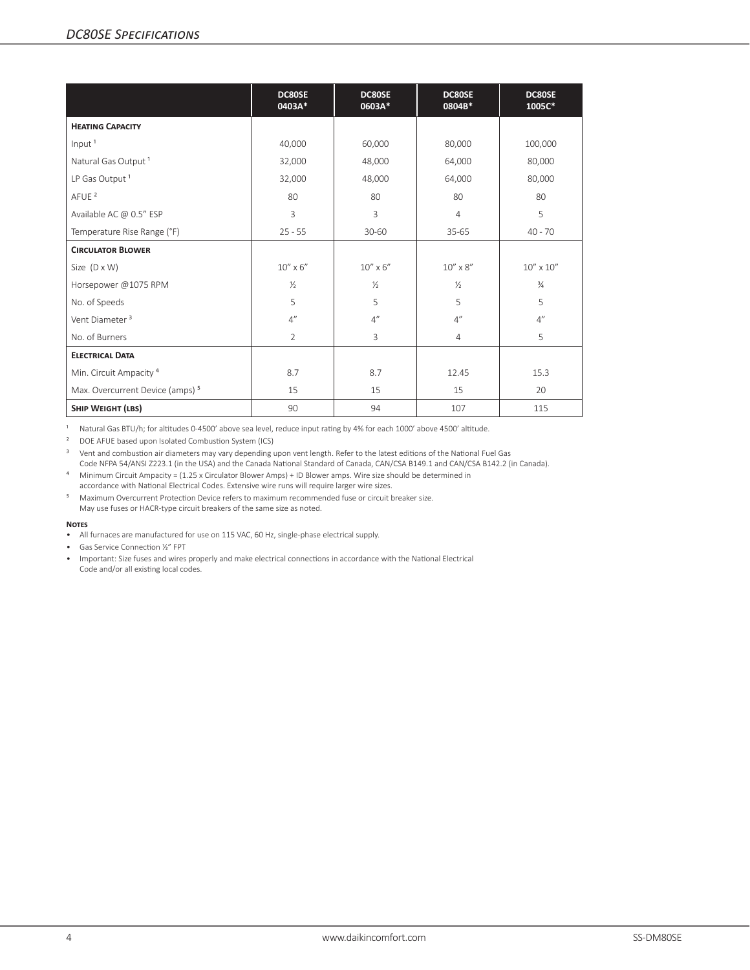|                                             | DC80SE<br>0403A* | DC80SE<br>0603A*  | DC80SE<br>0804B*  | DC80SE<br>1005C*   |
|---------------------------------------------|------------------|-------------------|-------------------|--------------------|
| <b>HEATING CAPACITY</b>                     |                  |                   |                   |                    |
| Input <sup>1</sup>                          | 40,000           | 60,000            | 80,000            | 100,000            |
| Natural Gas Output <sup>1</sup>             | 32,000           | 48,000            | 64,000            | 80,000             |
| LP Gas Output <sup>1</sup>                  | 32,000           | 48,000            | 64,000            | 80,000             |
| AFUE <sup>2</sup>                           | 80               | 80                | 80                | 80                 |
| Available AC @ 0.5" ESP                     | 3                | 3                 | 4                 | 5                  |
| Temperature Rise Range (°F)                 | $25 - 55$        | 30-60             | $35 - 65$         | $40 - 70$          |
| <b>CIRCULATOR BLOWER</b>                    |                  |                   |                   |                    |
| Size $(D \times W)$                         | $10''$ x $6''$   | $10'' \times 6''$ | $10'' \times 8''$ | $10'' \times 10''$ |
| Horsepower @1075 RPM                        | $\frac{1}{2}$    | $\frac{1}{2}$     | $\frac{1}{2}$     | $\frac{3}{4}$      |
| No. of Speeds                               | 5                | 5                 | 5                 | 5                  |
| Vent Diameter <sup>3</sup>                  | 4''              | 4''               | 4"                | 4''                |
| No. of Burners                              | $\overline{2}$   | 3                 | $\overline{4}$    | 5                  |
| <b>ELECTRICAL DATA</b>                      |                  |                   |                   |                    |
| Min. Circuit Ampacity <sup>4</sup>          | 8.7              | 8.7               | 12.45             | 15.3               |
| Max. Overcurrent Device (amps) <sup>5</sup> | 15               | 15                | 15                | 20                 |
| SHIP WEIGHT (LBS)                           | 90               | 94                | 107               | 115                |

<sup>1</sup> Natural Gas BTU/h; for altitudes 0-4500' above sea level, reduce input rating by 4% for each 1000' above 4500' altitude.

² DOE AFUE based upon Isolated Combustion System (ICS)

<sup>3</sup> Vent and combustion air diameters may vary depending upon vent length. Refer to the latest editions of the National Fuel Gas Code NFPA 54/ANSI Z223.1 (in the USA) and the Canada National Standard of Canada, CAN/CSA B149.1 and CAN/CSA B142.2 (in Canada).

⁴ Minimum Circuit Ampacity = (1.25 x Circulator Blower Amps) + ID Blower amps. Wire size should be determined in accordance with National Electrical Codes. Extensive wire runs will require larger wire sizes.

⁵ Maximum Overcurrent Protection Device refers to maximum recommended fuse or circuit breaker size. May use fuses or HACR-type circuit breakers of the same size as noted.

#### **Notes**

• All furnaces are manufactured for use on 115 VAC, 60 Hz, single-phase electrical supply.

• Gas Service Connection ½" FPT

• Important: Size fuses and wires properly and make electrical connections in accordance with the National Electrical Code and/or all existing local codes.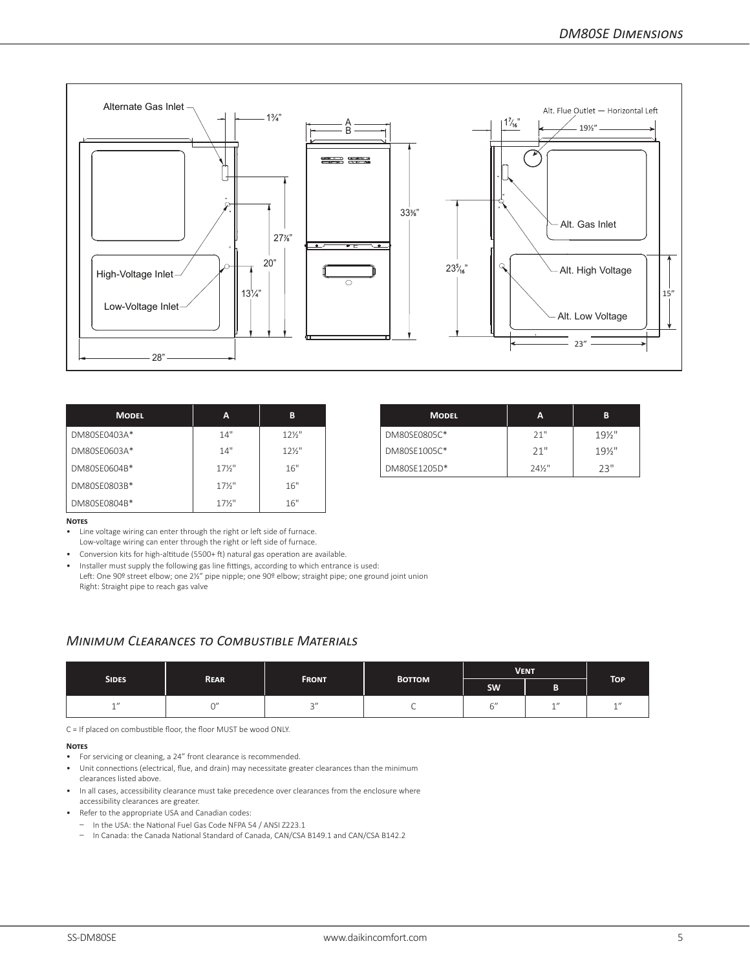

| <b>MODEL</b> | A                 | B               | <b>MODEL</b> | A                 |  |
|--------------|-------------------|-----------------|--------------|-------------------|--|
| DM80SE0403A* | 14"               | $12\frac{1}{2}$ | DM80SE0805C* | 21"               |  |
| DM80SE0603A* | 14"               | $12\frac{1}{2}$ | DM80SE1005C* | 21"               |  |
| DM80SE0604B* | $17\frac{1}{2}$ " | 16"             | DM80SE1205D* | $24\frac{1}{2}$ " |  |
| DM80SE0803B* | $17\frac{1}{2}$ " | 16"             |              |                   |  |
| DM80SE0804B* | $17\frac{1}{2}$   | 16"             |              |                   |  |

| <b>MODEL</b> | A    | B                 | <b>MODEL</b> | A                 | в      |
|--------------|------|-------------------|--------------|-------------------|--------|
| $3A*$        | 14"  | $12\frac{1}{2}$ " | DM80SE0805C* | 21"               | 191/2" |
| $3A*$        | 14"  | $12\frac{1}{2}$ " | DM80SE1005C* | 21"               | 191/2" |
| $04B*$       | 17%" | 16"               | DM80SE1205D* | $24\frac{1}{2}$ " | 23"    |

#### **Notes**

• Line voltage wiring can enter through the right or left side of furnace.

Low-voltage wiring can enter through the right or left side of furnace.

• Conversion kits for high-altitude (5500+ ft) natural gas operation are available.

• Installer must supply the following gas line fittings, according to which entrance is used: Left: One 90º street elbow; one 2½" pipe nipple; one 90º elbow; straight pipe; one ground joint union Right: Straight pipe to reach gas valve

#### *Minimum Clearances to Combustible Materials*

|                 |                                             |        |               | <b>VENT</b> | TOP <sup>1</sup>      |   |  |
|-----------------|---------------------------------------------|--------|---------------|-------------|-----------------------|---|--|
|                 | <b>REAR</b><br><b>FRONT</b><br><b>SIDES</b> |        | <b>BOTTOM</b> | <b>SW</b>   | Ð                     |   |  |
| $\overline{AB}$ |                                             | $\sim$ | ◡             | $-11$       | $\sim$ $\prime\prime$ | 1 |  |

C = If placed on combustible floor, the floor MUST be wood ONLY.

#### **Notes**

- For servicing or cleaning, a 24" front clearance is recommended.
- Unit connections (electrical, flue, and drain) may necessitate greater clearances than the minimum clearances listed above.
- In all cases, accessibility clearance must take precedence over clearances from the enclosure where accessibility clearances are greater.
- Refer to the appropriate USA and Canadian codes:
	- In the USA: the National Fuel Gas Code NFPA 54 / ANSI Z223.1
	- In Canada: the Canada National Standard of Canada, CAN/CSA B149.1 and CAN/CSA B142.2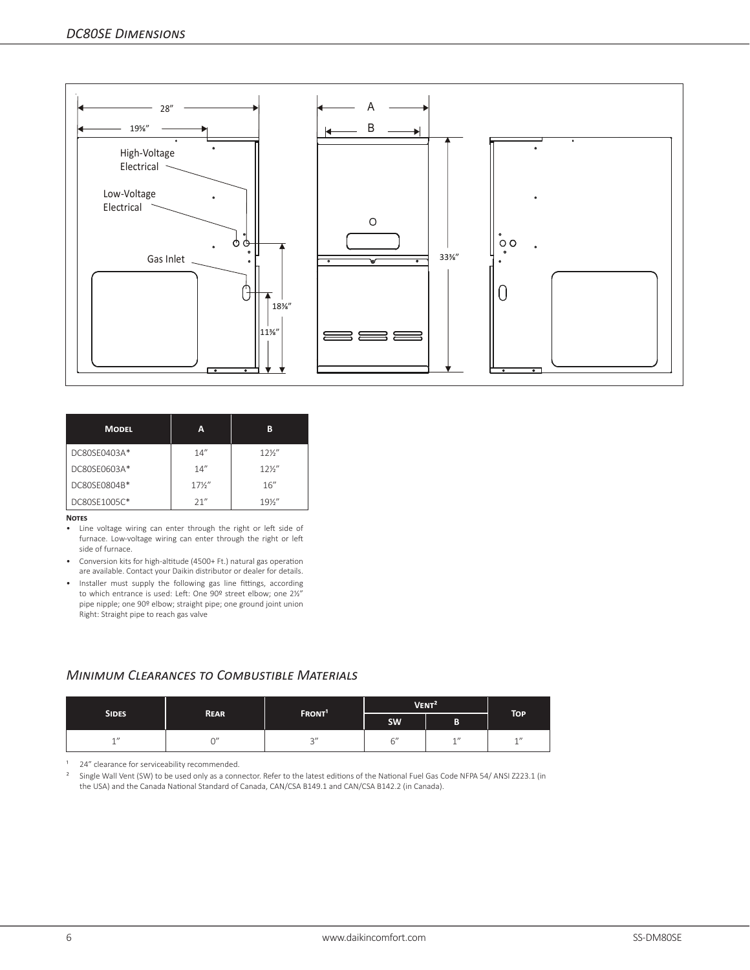

| <b>MODEL</b> | А               | в               |
|--------------|-----------------|-----------------|
| DC80SE0403A* | 14''            | $12\frac{1}{2}$ |
| DC80SE0603A* | 14''            | $12\frac{1}{2}$ |
| DC80SE0804B* | $17\frac{1}{2}$ | 16''            |
| DC80SF1005C* | 21"             | $19\%$ "        |

#### **Notes**

- Line voltage wiring can enter through the right or left side of furnace. Low-voltage wiring can enter through the right or left side of furnace.
- Conversion kits for high-altitude (4500+ Ft.) natural gas operation are available. Contact your Daikin distributor or dealer for details.
- Installer must supply the following gas line fittings, according to which entrance is used: Left: One 90º street elbow; one 2½" pipe nipple; one 90º elbow; straight pipe; one ground joint union Right: Straight pipe to reach gas valve

#### *Minimum Clearances to Combustible Materials*

|              |             |                    | VENT <sup>2</sup>        |      |                    |
|--------------|-------------|--------------------|--------------------------|------|--------------------|
| <b>SIDES</b> | <b>REAR</b> | FRONT <sup>1</sup> | <b>SW</b>                | B    | <b>TOP</b>         |
| $A$ $H$      | $\sim$ "    | $\sim$<br>◡        | $\overline{\phantom{a}}$ | $-1$ | $1$ $\prime\prime$ |

<sup>1</sup> 24" clearance for serviceability recommended.

<sup>2</sup> Single Wall Vent (SW) to be used only as a connector. Refer to the latest editions of the National Fuel Gas Code NFPA 54/ ANSI Z223.1 (in the USA) and the Canada National Standard of Canada, CAN/CSA B149.1 and CAN/CSA B142.2 (in Canada).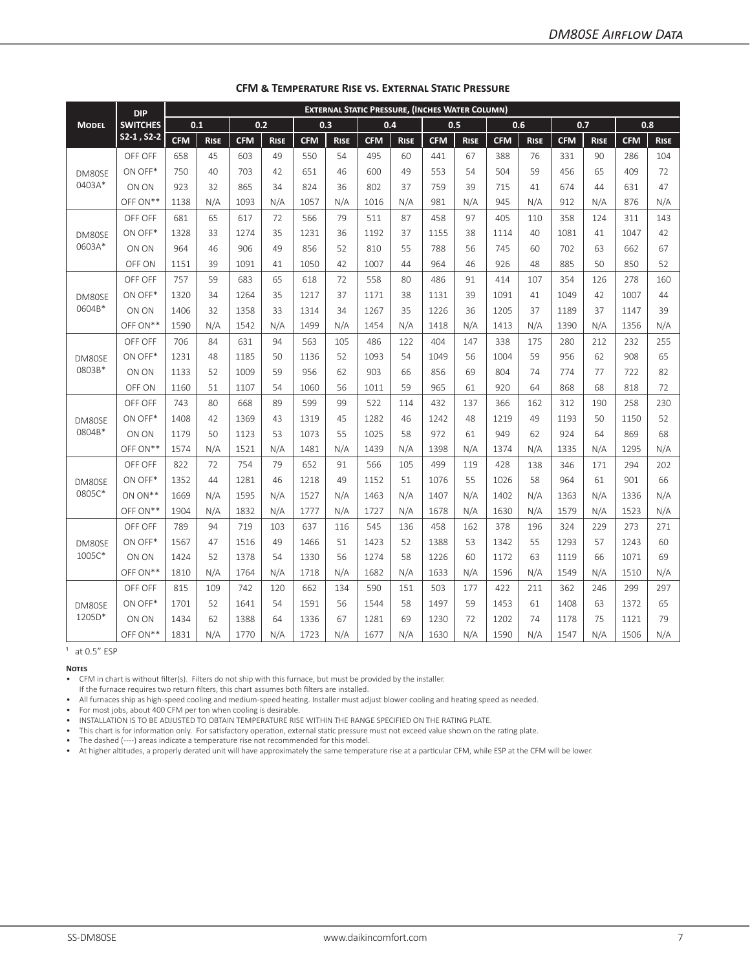| <b>EXTERNAL STATIC PRESSURE, (INCHES WATER COLUMN)</b><br><b>DIP</b> |                 |            |             |            |             |            |             |            |             |            |             |            |             |            |             |            |             |
|----------------------------------------------------------------------|-----------------|------------|-------------|------------|-------------|------------|-------------|------------|-------------|------------|-------------|------------|-------------|------------|-------------|------------|-------------|
| <b>MODEL</b>                                                         | <b>SWITCHES</b> | 0.1        |             |            | 0.2         |            | 0.3         | 0.4        |             | 0.5        |             |            | 0.6         | 0.7        |             | 0.8        |             |
|                                                                      | $S2-1, S2-2$    | <b>CFM</b> | <b>RISE</b> | <b>CFM</b> | <b>RISE</b> | <b>CFM</b> | <b>RISE</b> | <b>CFM</b> | <b>RISE</b> | <b>CFM</b> | <b>RISE</b> | <b>CFM</b> | <b>RISE</b> | <b>CFM</b> | <b>RISE</b> | <b>CFM</b> | <b>RISE</b> |
|                                                                      | OFF OFF         | 658        | 45          | 603        | 49          | 550        | 54          | 495        | 60          | 441        | 67          | 388        | 76          | 331        | 90          | 286        | 104         |
| DM80SE                                                               | ON OFF*         | 750        | 40          | 703        | 42          | 651        | 46          | 600        | 49          | 553        | 54          | 504        | 59          | 456        | 65          | 409        | 72          |
| 0403A*                                                               | ON ON           | 923        | 32          | 865        | 34          | 824        | 36          | 802        | 37          | 759        | 39          | 715        | 41          | 674        | 44          | 631        | 47          |
|                                                                      | OFF ON**        | 1138       | N/A         | 1093       | N/A         | 1057       | N/A         | 1016       | N/A         | 981        | N/A         | 945        | N/A         | 912        | N/A         | 876        | N/A         |
|                                                                      | OFF OFF         | 681        | 65          | 617        | 72          | 566        | 79          | 511        | 87          | 458        | 97          | 405        | 110         | 358        | 124         | 311        | 143         |
| DM80SF                                                               | ON OFF*         | 1328       | 33          | 1274       | 35          | 1231       | 36          | 1192       | 37          | 1155       | 38          | 1114       | 40          | 1081       | 41          | 1047       | 42          |
| 0603A*                                                               | ON ON           | 964        | 46          | 906        | 49          | 856        | 52          | 810        | 55          | 788        | 56          | 745        | 60          | 702        | 63          | 662        | 67          |
|                                                                      | OFF ON          | 1151       | 39          | 1091       | 41          | 1050       | 42          | 1007       | 44          | 964        | 46          | 926        | 48          | 885        | 50          | 850        | 52          |
|                                                                      | OFF OFF         | 757        | 59          | 683        | 65          | 618        | 72          | 558        | 80          | 486        | 91          | 414        | 107         | 354        | 126         | 278        | 160         |
| DM80SE                                                               | ON OFF*         | 1320       | 34          | 1264       | 35          | 1217       | 37          | 1171       | 38          | 1131       | 39          | 1091       | 41          | 1049       | 42          | 1007       | 44          |
| 0604B*                                                               | ON ON           | 1406       | 32          | 1358       | 33          | 1314       | 34          | 1267       | 35          | 1226       | 36          | 1205       | 37          | 1189       | 37          | 1147       | 39          |
|                                                                      | OFF ON**        | 1590       | N/A         | 1542       | N/A         | 1499       | N/A         | 1454       | N/A         | 1418       | N/A         | 1413       | N/A         | 1390       | N/A         | 1356       | N/A         |
|                                                                      | OFF OFF         | 706        | 84          | 631        | 94          | 563        | 105         | 486        | 122         | 404        | 147         | 338        | 175         | 280        | 212         | 232        | 255         |
| DM80SE                                                               | ON OFF*         | 1231       | 48          | 1185       | 50          | 1136       | 52          | 1093       | 54          | 1049       | 56          | 1004       | 59          | 956        | 62          | 908        | 65          |
| 0803B*                                                               | ON ON           | 1133       | 52          | 1009       | 59          | 956        | 62          | 903        | 66          | 856        | 69          | 804        | 74          | 774        | 77          | 722        | 82          |
|                                                                      | OFF ON          | 1160       | 51          | 1107       | 54          | 1060       | 56          | 1011       | 59          | 965        | 61          | 920        | 64          | 868        | 68          | 818        | 72          |
|                                                                      | OFF OFF         | 743        | 80          | 668        | 89          | 599        | 99          | 522        | 114         | 432        | 137         | 366        | 162         | 312        | 190         | 258        | 230         |
| DM80SE                                                               | ON OFF*         | 1408       | 42          | 1369       | 43          | 1319       | 45          | 1282       | 46          | 1242       | 48          | 1219       | 49          | 1193       | 50          | 1150       | 52          |
| 0804B*                                                               | ON ON           | 1179       | 50          | 1123       | 53          | 1073       | 55          | 1025       | 58          | 972        | 61          | 949        | 62          | 924        | 64          | 869        | 68          |
|                                                                      | OFF ON**        | 1574       | N/A         | 1521       | N/A         | 1481       | N/A         | 1439       | N/A         | 1398       | N/A         | 1374       | N/A         | 1335       | N/A         | 1295       | N/A         |
|                                                                      | OFF OFF         | 822        | 72          | 754        | 79          | 652        | 91          | 566        | 105         | 499        | 119         | 428        | 138         | 346        | 171         | 294        | 202         |
| DM80SE                                                               | ON OFF*         | 1352       | 44          | 1281       | 46          | 1218       | 49          | 1152       | 51          | 1076       | 55          | 1026       | 58          | 964        | 61          | 901        | 66          |
| 0805C*                                                               | ON ON**         | 1669       | N/A         | 1595       | N/A         | 1527       | N/A         | 1463       | N/A         | 1407       | N/A         | 1402       | N/A         | 1363       | N/A         | 1336       | N/A         |
|                                                                      | OFF ON**        | 1904       | N/A         | 1832       | N/A         | 1777       | N/A         | 1727       | N/A         | 1678       | N/A         | 1630       | N/A         | 1579       | N/A         | 1523       | N/A         |
|                                                                      | OFF OFF         | 789        | 94          | 719        | 103         | 637        | 116         | 545        | 136         | 458        | 162         | 378        | 196         | 324        | 229         | 273        | 271         |
| DM80SE                                                               | ON OFF*         | 1567       | 47          | 1516       | 49          | 1466       | 51          | 1423       | 52          | 1388       | 53          | 1342       | 55          | 1293       | 57          | 1243       | 60          |
| 1005C*                                                               | ON ON           | 1424       | 52          | 1378       | 54          | 1330       | 56          | 1274       | 58          | 1226       | 60          | 1172       | 63          | 1119       | 66          | 1071       | 69          |
|                                                                      | OFF ON**        | 1810       | N/A         | 1764       | N/A         | 1718       | N/A         | 1682       | N/A         | 1633       | N/A         | 1596       | N/A         | 1549       | N/A         | 1510       | N/A         |
|                                                                      | OFF OFF         | 815        | 109         | 742        | 120         | 662        | 134         | 590        | 151         | 503        | 177         | 422        | 211         | 362        | 246         | 299        | 297         |
| DM80SE                                                               | ON OFF*         | 1701       | 52          | 1641       | 54          | 1591       | 56          | 1544       | 58          | 1497       | 59          | 1453       | 61          | 1408       | 63          | 1372       | 65          |
| 1205D*                                                               | ON ON           | 1434       | 62          | 1388       | 64          | 1336       | 67          | 1281       | 69          | 1230       | 72          | 1202       | 74          | 1178       | 75          | 1121       | 79          |
|                                                                      | OFF ON**        | 1831       | N/A         | 1770       | N/A         | 1723       | N/A         | 1677       | N/A         | 1630       | N/A         | 1590       | N/A         | 1547       | N/A         | 1506       | N/A         |

#### **CFM & Temperature Rise vs. External Static Pressure**

 $1$  at 0.5" ESP

#### **Notes**

• CFM in chart is without filter(s). Filters do not ship with this furnace, but must be provided by the installer.

If the furnace requires two return filters, this chart assumes both filters are installed. • All furnaces ship as high-speed cooling and medium-speed heating. Installer must adjust blower cooling and heating speed as needed.

• For most jobs, about 400 CFM per ton when cooling is desirable.

• INSTALLATION IS TO BE ADJUSTED TO OBTAIN TEMPERATURE RISE WITHIN THE RANGE SPECIFIED ON THE RATING PLATE.

• This chart is for information only. For satisfactory operation, external static pressure must not exceed value shown on the rating plate.

• The dashed (----) areas indicate a temperature rise not recommended for this model.

• At higher altitudes, a properly derated unit will have approximately the same temperature rise at a particular CFM, while ESP at the CFM will be lower.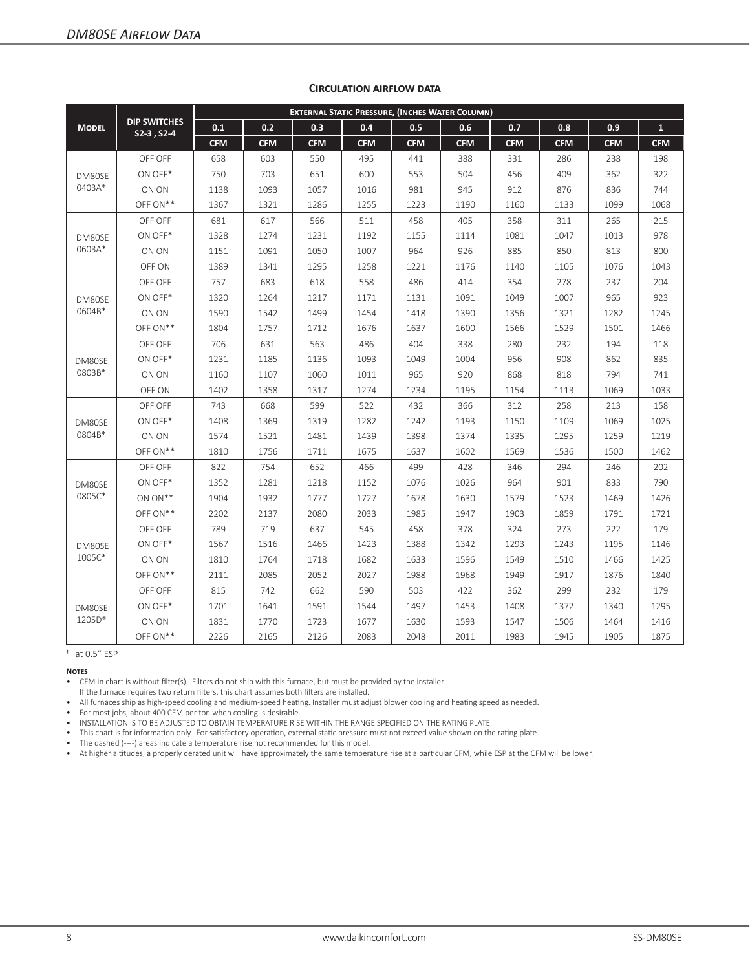|                  |                                     | <b>EXTERNAL STATIC PRESSURE, (INCHES WATER COLUMN)</b> |            |            |            |            |            |            |            |            |              |  |  |  |
|------------------|-------------------------------------|--------------------------------------------------------|------------|------------|------------|------------|------------|------------|------------|------------|--------------|--|--|--|
| <b>MODEL</b>     | <b>DIP SWITCHES</b><br>$52-3, 52-4$ | 0.1                                                    | 0.2        | 0.3        | 0.4        | 0.5        | 0.6        | 0.7        | 0.8        | 0.9        | $\mathbf{1}$ |  |  |  |
|                  |                                     | <b>CFM</b>                                             | <b>CFM</b> | <b>CFM</b> | <b>CFM</b> | <b>CFM</b> | <b>CFM</b> | <b>CFM</b> | <b>CFM</b> | <b>CFM</b> | <b>CFM</b>   |  |  |  |
|                  | OFF OFF                             | 658                                                    | 603        | 550        | 495        | 441        | 388        | 331        | 286        | 238        | 198          |  |  |  |
| DM80SE           | ON OFF*                             | 750                                                    | 703        | 651        | 600        | 553        | 504        | 456        | 409        | 362        | 322          |  |  |  |
| 0403A*           | ON ON                               | 1138                                                   | 1093       | 1057       | 1016       | 981        | 945        | 912        | 876        | 836        | 744          |  |  |  |
|                  | OFF ON**                            | 1367                                                   | 1321       | 1286       | 1255       | 1223       | 1190       | 1160       | 1133       | 1099       | 1068         |  |  |  |
|                  | OFF OFF                             | 681                                                    | 617        | 566        | 511        | 458        | 405        | 358        | 311        | 265        | 215          |  |  |  |
| DM80SE           | ON OFF*                             | 1328                                                   | 1274       | 1231       | 1192       | 1155       | 1114       | 1081       | 1047       | 1013       | 978          |  |  |  |
| 0603A*           | ON ON                               | 1151                                                   | 1091       | 1050       | 1007       | 964        | 926        | 885        | 850        | 813        | 800          |  |  |  |
|                  | OFF ON                              | 1389                                                   | 1341       | 1295       | 1258       | 1221       | 1176       | 1140       | 1105       | 1076       | 1043         |  |  |  |
|                  | OFF OFF                             | 757                                                    | 683        | 618        | 558        | 486        | 414        | 354        | 278        | 237        | 204          |  |  |  |
| DM80SE           | ON OFF*                             | 1320                                                   | 1264       | 1217       | 1171       | 1131       | 1091       | 1049       | 1007       | 965        | 923          |  |  |  |
| 0604B*           | ON ON                               | 1590                                                   | 1542       | 1499       | 1454       | 1418       | 1390       | 1356       | 1321       | 1282       | 1245         |  |  |  |
|                  | OFF ON**                            | 1804                                                   | 1757       | 1712       | 1676       | 1637       | 1600       | 1566       | 1529       | 1501       | 1466         |  |  |  |
|                  | OFF OFF                             | 706                                                    | 631        | 563        | 486        | 404        | 338        | 280        | 232        | 194        | 118          |  |  |  |
| DM80SE<br>0803B* | ON OFF*                             | 1231                                                   | 1185       | 1136       | 1093       | 1049       | 1004       | 956        | 908        | 862        | 835          |  |  |  |
|                  | ON ON                               | 1160                                                   | 1107       | 1060       | 1011       | 965        | 920        | 868        | 818        | 794        | 741          |  |  |  |
|                  | OFF ON                              | 1402                                                   | 1358       | 1317       | 1274       | 1234       | 1195       | 1154       | 1113       | 1069       | 1033         |  |  |  |
|                  | OFF OFF                             | 743                                                    | 668        | 599        | 522        | 432        | 366        | 312        | 258        | 213        | 158          |  |  |  |
| DM80SE           | ON OFF*                             | 1408                                                   | 1369       | 1319       | 1282       | 1242       | 1193       | 1150       | 1109       | 1069       | 1025         |  |  |  |
| 0804B*           | ON ON                               | 1574                                                   | 1521       | 1481       | 1439       | 1398       | 1374       | 1335       | 1295       | 1259       | 1219         |  |  |  |
|                  | OFF ON**                            | 1810                                                   | 1756       | 1711       | 1675       | 1637       | 1602       | 1569       | 1536       | 1500       | 1462         |  |  |  |
|                  | OFF OFF                             | 822                                                    | 754        | 652        | 466        | 499        | 428        | 346        | 294        | 246        | 202          |  |  |  |
| DM80SE           | ON OFF*                             | 1352                                                   | 1281       | 1218       | 1152       | 1076       | 1026       | 964        | 901        | 833        | 790          |  |  |  |
| 0805C*           | ON ON**                             | 1904                                                   | 1932       | 1777       | 1727       | 1678       | 1630       | 1579       | 1523       | 1469       | 1426         |  |  |  |
|                  | OFF ON**                            | 2202                                                   | 2137       | 2080       | 2033       | 1985       | 1947       | 1903       | 1859       | 1791       | 1721         |  |  |  |
|                  | OFF OFF                             | 789                                                    | 719        | 637        | 545        | 458        | 378        | 324        | 273        | 222        | 179          |  |  |  |
| DM80SE           | ON OFF*                             | 1567                                                   | 1516       | 1466       | 1423       | 1388       | 1342       | 1293       | 1243       | 1195       | 1146         |  |  |  |
| 1005C*           | ON ON                               | 1810                                                   | 1764       | 1718       | 1682       | 1633       | 1596       | 1549       | 1510       | 1466       | 1425         |  |  |  |
|                  | OFF ON**                            | 2111                                                   | 2085       | 2052       | 2027       | 1988       | 1968       | 1949       | 1917       | 1876       | 1840         |  |  |  |
|                  | OFF OFF                             | 815                                                    | 742        | 662        | 590        | 503        | 422        | 362        | 299        | 232        | 179          |  |  |  |
| DM80SE           | ON OFF*                             | 1701                                                   | 1641       | 1591       | 1544       | 1497       | 1453       | 1408       | 1372       | 1340       | 1295         |  |  |  |
| 1205D*           | ON ON                               | 1831                                                   | 1770       | 1723       | 1677       | 1630       | 1593       | 1547       | 1506       | 1464       | 1416         |  |  |  |
|                  | OFF ON**                            | 2226                                                   | 2165       | 2126       | 2083       | 2048       | 2011       | 1983       | 1945       | 1905       | 1875         |  |  |  |

#### **Circulation airflow data**

 $1$  at 0.5 $"$  ESP

#### **Notes**

• CFM in chart is without filter(s). Filters do not ship with this furnace, but must be provided by the installer.

If the furnace requires two return filters, this chart assumes both filters are installed. • All furnaces ship as high-speed cooling and medium-speed heating. Installer must adjust blower cooling and heating speed as needed.

• For most jobs, about 400 CFM per ton when cooling is desirable.

• INSTALLATION IS TO BE ADJUSTED TO OBTAIN TEMPERATURE RISE WITHIN THE RANGE SPECIFIED ON THE RATING PLATE.

• This chart is for information only. For satisfactory operation, external static pressure must not exceed value shown on the rating plate.

• The dashed (----) areas indicate a temperature rise not recommended for this model.

• At higher altitudes, a properly derated unit will have approximately the same temperature rise at a particular CFM, while ESP at the CFM will be lower.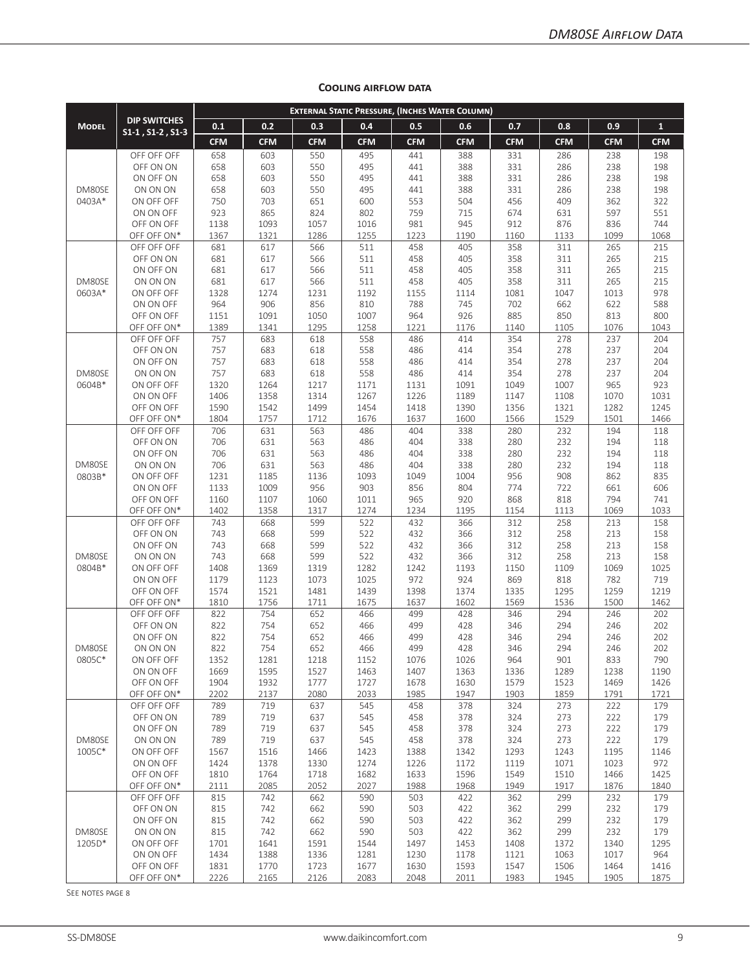|                  |                                                 |              |              |              |              |              | <b>EXTERNAL STATIC PRESSURE, (INCHES WATER COLUMN)</b> |              |              |              |              |
|------------------|-------------------------------------------------|--------------|--------------|--------------|--------------|--------------|--------------------------------------------------------|--------------|--------------|--------------|--------------|
| <b>MODEL</b>     | <b>DIP SWITCHES</b><br>$S1-1$ , $S1-2$ , $S1-3$ | 0.1          | 0.2          | 0.3          | 0.4          | 0.5          | 0.6                                                    | 0.7          | 0.8          | 0.9          | $\mathbf{1}$ |
|                  |                                                 | <b>CFM</b>   | <b>CFM</b>   | <b>CFM</b>   | <b>CFM</b>   | <b>CFM</b>   | <b>CFM</b>                                             | <b>CFM</b>   | <b>CFM</b>   | <b>CFM</b>   | <b>CFM</b>   |
|                  | OFF OFF OFF                                     | 658          | 603          | 550          | 495          | 441          | 388                                                    | 331          | 286          | 238          | 198          |
|                  | OFF ON ON                                       | 658          | 603          | 550          | 495          | 441          | 388                                                    | 331          | 286          | 238          | 198          |
|                  | ON OFF ON                                       | 658          | 603          | 550          | 495          | 441          | 388                                                    | 331          | 286          | 238          | 198          |
| DM80SE<br>0403A* | ON ON ON<br>ON OFF OFF                          | 658<br>750   | 603<br>703   | 550<br>651   | 495<br>600   | 441<br>553   | 388<br>504                                             | 331<br>456   | 286<br>409   | 238<br>362   | 198<br>322   |
|                  | ON ON OFF                                       | 923          | 865          | 824          | 802          | 759          | 715                                                    | 674          | 631          | 597          | 551          |
|                  | OFF ON OFF                                      | 1138         | 1093         | 1057         | 1016         | 981          | 945                                                    | 912          | 876          | 836          | 744          |
|                  | OFF OFF ON*                                     | 1367         | 1321         | 1286         | 1255         | 1223         | 1190                                                   | 1160         | 1133         | 1099         | 1068         |
|                  | OFF OFF OFF                                     | 681          | 617          | 566          | 511          | 458          | 405                                                    | 358          | 311          | 265          | 215          |
|                  | OFF ON ON                                       | 681          | 617          | 566          | 511          | 458          | 405                                                    | 358          | 311          | 265          | 215          |
|                  | ON OFF ON                                       | 681          | 617          | 566          | 511          | 458          | 405                                                    | 358          | 311          | 265          | 215          |
| DM80SE           | ON ON ON                                        | 681<br>1328  | 617<br>1274  | 566          | 511          | 458<br>1155  | 405                                                    | 358          | 311<br>1047  | 265          | 215<br>978   |
| 0603A*           | ON OFF OFF<br>ON ON OFF                         | 964          | 906          | 1231<br>856  | 1192<br>810  | 788          | 1114<br>745                                            | 1081<br>702  | 662          | 1013<br>622  | 588          |
|                  | OFF ON OFF                                      | 1151         | 1091         | 1050         | 1007         | 964          | 926                                                    | 885          | 850          | 813          | 800          |
|                  | OFF OFF ON*                                     | 1389         | 1341         | 1295         | 1258         | 1221         | 1176                                                   | 1140         | 1105         | 1076         | 1043         |
|                  | OFF OFF OFF                                     | 757          | 683          | 618          | 558          | 486          | 414                                                    | 354          | 278          | 237          | 204          |
|                  | OFF ON ON                                       | 757          | 683          | 618          | 558          | 486          | 414                                                    | 354          | 278          | 237          | 204          |
|                  | ON OFF ON                                       | 757          | 683          | 618          | 558          | 486          | 414                                                    | 354          | 278          | 237          | 204          |
| DM80SE           | ON ON ON                                        | 757          | 683          | 618          | 558          | 486          | 414                                                    | 354          | 278          | 237          | 204          |
| 0604B*           | ON OFF OFF                                      | 1320         | 1264         | 1217         | 1171         | 1131         | 1091                                                   | 1049         | 1007         | 965          | 923          |
|                  | ON ON OFF<br>OFF ON OFF                         | 1406<br>1590 | 1358<br>1542 | 1314<br>1499 | 1267<br>1454 | 1226<br>1418 | 1189<br>1390                                           | 1147<br>1356 | 1108<br>1321 | 1070<br>1282 | 1031<br>1245 |
|                  | OFF OFF ON*                                     | 1804         | 1757         | 1712         | 1676         | 1637         | 1600                                                   | 1566         | 1529         | 1501         | 1466         |
|                  | OFF OFF OFF                                     | 706          | 631          | 563          | 486          | 404          | 338                                                    | 280          | 232          | 194          | 118          |
|                  | OFF ON ON                                       | 706          | 631          | 563          | 486          | 404          | 338                                                    | 280          | 232          | 194          | 118          |
|                  | ON OFF ON                                       | 706          | 631          | 563          | 486          | 404          | 338                                                    | 280          | 232          | 194          | 118          |
| DM80SE           | ON ON ON                                        | 706          | 631          | 563          | 486          | 404          | 338                                                    | 280          | 232          | 194          | 118          |
| 0803B*           | ON OFF OFF                                      | 1231         | 1185         | 1136         | 1093         | 1049         | 1004                                                   | 956          | 908          | 862          | 835          |
|                  | ON ON OFF                                       | 1133         | 1009         | 956          | 903          | 856          | 804                                                    | 774<br>868   | 722<br>818   | 661          | 606          |
|                  | OFF ON OFF<br>OFF OFF ON*                       | 1160<br>1402 | 1107<br>1358 | 1060<br>1317 | 1011<br>1274 | 965<br>1234  | 920<br>1195                                            | 1154         | 1113         | 794<br>1069  | 741<br>1033  |
|                  | OFF OFF OFF                                     | 743          | 668          | 599          | 522          | 432          | 366                                                    | 312          | 258          | 213          | 158          |
|                  | OFF ON ON                                       | 743          | 668          | 599          | 522          | 432          | 366                                                    | 312          | 258          | 213          | 158          |
| DM80SE<br>0804B* | ON OFF ON                                       | 743          | 668          | 599          | 522          | 432          | 366                                                    | 312          | 258          | 213          | 158          |
|                  | ON ON ON                                        | 743          | 668          | 599          | 522          | 432          | 366                                                    | 312          | 258          | 213          | 158          |
|                  | ON OFF OFF                                      | 1408         | 1369         | 1319         | 1282         | 1242         | 1193                                                   | 1150         | 1109         | 1069         | 1025         |
|                  | ON ON OFF                                       | 1179         | 1123         | 1073         | 1025         | 972          | 924                                                    | 869          | 818          | 782          | 719          |
|                  | OFF ON OFF<br>OFF OFF ON*                       | 1574<br>1810 | 1521<br>1756 | 1481<br>1711 | 1439<br>1675 | 1398<br>1637 | 1374<br>1602                                           | 1335<br>1569 | 1295<br>1536 | 1259<br>1500 | 1219<br>1462 |
|                  | OFF OFF OFF                                     | 822          | 754          | 652          | 466          | 499          | 428                                                    | 346          | 294          | 246          | 202          |
|                  | OFF ON ON                                       | 822          | 754          | 652          | 466          | 499          | 428                                                    | 346          | 294          | 246          | 202          |
|                  | ON OFF ON                                       | 822          | 754          | 652          | 466          | 499          | 428                                                    | 346          | 294          | 246          | 202          |
| DM80SE           | ON ON ON                                        | 822          | 754          | 652          | 466          | 499          | 428                                                    | 346          | 294          | 246          | 202          |
| 0805C*           | ON OFF OFF                                      | 1352         | 1281         | 1218         | 1152         | 1076         | 1026                                                   | 964          | 901          | 833          | 790          |
|                  | ON ON OFF                                       | 1669         | 1595         | 1527         | 1463         | 1407         | 1363                                                   | 1336         | 1289         | 1238         | 1190         |
|                  | OFF ON OFF<br>OFF OFF ON*                       | 1904<br>2202 | 1932<br>2137 | 1777<br>2080 | 1727<br>2033 | 1678<br>1985 | 1630<br>1947                                           | 1579<br>1903 | 1523<br>1859 | 1469<br>1791 | 1426<br>1721 |
|                  | OFF OFF OFF                                     | 789          | 719          | 637          | 545          | 458          | 378                                                    | 324          | 273          | 222          | 179          |
|                  | OFF ON ON                                       | 789          | 719          | 637          | 545          | 458          | 378                                                    | 324          | 273          | 222          | 179          |
|                  | ON OFF ON                                       | 789          | 719          | 637          | 545          | 458          | 378                                                    | 324          | 273          | 222          | 179          |
| DM80SE           | ON ON ON                                        | 789          | 719          | 637          | 545          | 458          | 378                                                    | 324          | 273          | 222          | 179          |
| 1005C*           | ON OFF OFF                                      | 1567         | 1516         | 1466         | 1423         | 1388         | 1342                                                   | 1293         | 1243         | 1195         | 1146         |
|                  | ON ON OFF                                       | 1424         | 1378         | 1330         | 1274         | 1226         | 1172                                                   | 1119         | 1071         | 1023         | 972          |
|                  | OFF ON OFF<br>OFF OFF ON*                       | 1810<br>2111 | 1764<br>2085 | 1718<br>2052 | 1682<br>2027 | 1633<br>1988 | 1596<br>1968                                           | 1549<br>1949 | 1510<br>1917 | 1466<br>1876 | 1425<br>1840 |
|                  | OFF OFF OFF                                     | 815          | 742          | 662          | 590          | 503          | 422                                                    | 362          | 299          | 232          | 179          |
|                  | OFF ON ON                                       | 815          | 742          | 662          | 590          | 503          | 422                                                    | 362          | 299          | 232          | 179          |
|                  | ON OFF ON                                       | 815          | 742          | 662          | 590          | 503          | 422                                                    | 362          | 299          | 232          | 179          |
| DM80SE           | ON ON ON                                        | 815          | 742          | 662          | 590          | 503          | 422                                                    | 362          | 299          | 232          | 179          |
| 1205D*           | ON OFF OFF                                      | 1701         | 1641         | 1591         | 1544         | 1497         | 1453                                                   | 1408         | 1372         | 1340         | 1295         |
|                  | ON ON OFF                                       | 1434         | 1388         | 1336         | 1281         | 1230         | 1178                                                   | 1121         | 1063         | 1017         | 964          |
|                  | OFF ON OFF                                      | 1831         | 1770         | 1723         | 1677         | 1630         | 1593                                                   | 1547         | 1506         | 1464         | 1416         |
|                  | OFF OFF ON*                                     | 2226         | 2165         | 2126         | 2083         | 2048         | 2011                                                   | 1983         | 1945         | 1905         | 1875         |

#### **Cooling airflow data**

See notes page 8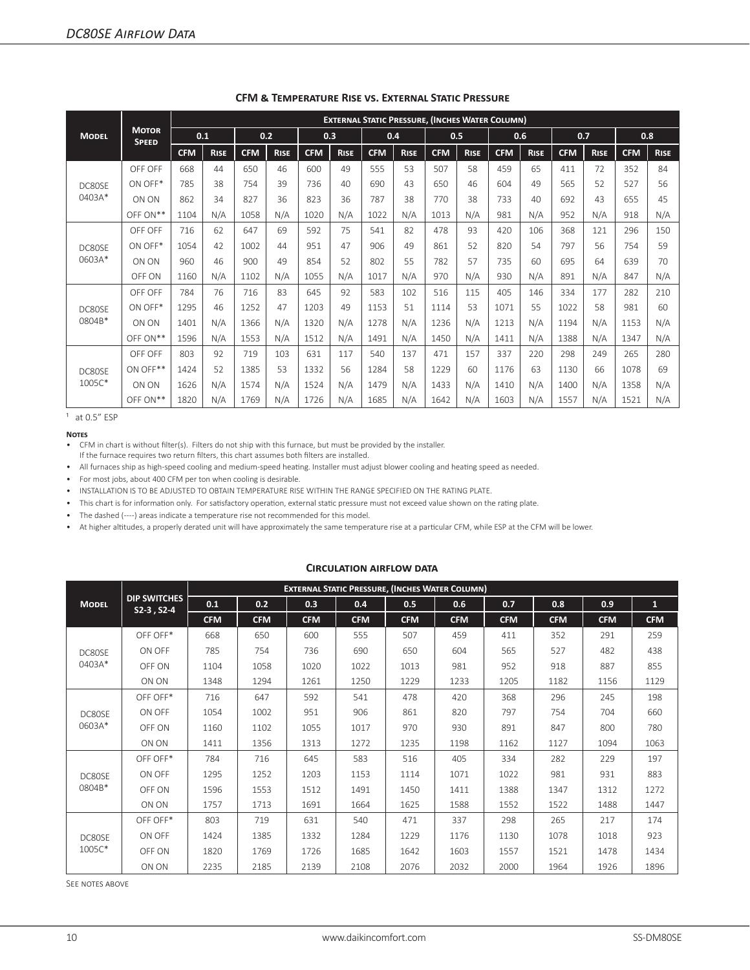|                  |                              | <b>EXTERNAL STATIC PRESSURE, (INCHES WATER COLUMN)</b> |             |            |             |            |             |            |             |            |             |            |             |            |             |            |             |
|------------------|------------------------------|--------------------------------------------------------|-------------|------------|-------------|------------|-------------|------------|-------------|------------|-------------|------------|-------------|------------|-------------|------------|-------------|
| <b>MODEL</b>     | <b>MOTOR</b><br><b>SPEED</b> | 0.1                                                    |             |            | 0.2         |            | 0.3         |            | 0.4         |            | 0.5         | 0.6        |             |            | 0.7         |            | 0.8         |
|                  |                              | <b>CFM</b>                                             | <b>RISE</b> | <b>CFM</b> | <b>RISE</b> | <b>CFM</b> | <b>RISE</b> | <b>CFM</b> | <b>RISE</b> | <b>CFM</b> | <b>RISE</b> | <b>CFM</b> | <b>RISE</b> | <b>CFM</b> | <b>RISE</b> | <b>CFM</b> | <b>RISE</b> |
|                  | OFF OFF                      | 668                                                    | 44          | 650        | 46          | 600        | 49          | 555        | 53          | 507        | 58          | 459        | 65          | 411        | 72          | 352        | 84          |
| DC80SF           | ON OFF*                      | 785                                                    | 38          | 754        | 39          | 736        | 40          | 690        | 43          | 650        | 46          | 604        | 49          | 565        | 52          | 527        | 56          |
| 0403A*           | ON ON                        | 862                                                    | 34          | 827        | 36          | 823        | 36          | 787        | 38          | 770        | 38          | 733        | 40          | 692        | 43          | 655        | 45          |
|                  | OFF ON**                     | 1104                                                   | N/A         | 1058       | N/A         | 1020       | N/A         | 1022       | N/A         | 1013       | N/A         | 981        | N/A         | 952        | N/A         | 918        | N/A         |
| DC80SF<br>0603A* | OFF OFF                      | 716                                                    | 62          | 647        | 69          | 592        | 75          | 541        | 82          | 478        | 93          | 420        | 106         | 368        | 121         | 296        | 150         |
|                  | ON OFF*                      | 1054                                                   | 42          | 1002       | 44          | 951        | 47          | 906        | 49          | 861        | 52          | 820        | 54          | 797        | 56          | 754        | 59          |
|                  | ON ON                        | 960                                                    | 46          | 900        | 49          | 854        | 52          | 802        | 55          | 782        | 57          | 735        | 60          | 695        | 64          | 639        | 70          |
|                  | OFF ON                       | 1160                                                   | N/A         | 1102       | N/A         | 1055       | N/A         | 1017       | N/A         | 970        | N/A         | 930        | N/A         | 891        | N/A         | 847        | N/A         |
|                  | OFF OFF                      | 784                                                    | 76          | 716        | 83          | 645        | 92          | 583        | 102         | 516        | 115         | 405        | 146         | 334        | 177         | 282        | 210         |
| DC80SF           | ON OFF*                      | 1295                                                   | 46          | 1252       | 47          | 1203       | 49          | 1153       | 51          | 1114       | 53          | 1071       | 55          | 1022       | 58          | 981        | 60          |
| 0804B*           | ON ON                        | 1401                                                   | N/A         | 1366       | N/A         | 1320       | N/A         | 1278       | N/A         | 1236       | N/A         | 1213       | N/A         | 1194       | N/A         | 1153       | N/A         |
|                  | OFF ON**                     | 1596                                                   | N/A         | 1553       | N/A         | 1512       | N/A         | 1491       | N/A         | 1450       | N/A         | 1411       | N/A         | 1388       | N/A         | 1347       | N/A         |
|                  | OFF OFF                      | 803                                                    | 92          | 719        | 103         | 631        | 117         | 540        | 137         | 471        | 157         | 337        | 220         | 298        | 249         | 265        | 280         |
| DC80SF           | ON OFF**                     | 1424                                                   | 52          | 1385       | 53          | 1332       | 56          | 1284       | 58          | 1229       | 60          | 1176       | 63          | 1130       | 66          | 1078       | 69          |
| 1005C*           | ON ON                        | 1626                                                   | N/A         | 1574       | N/A         | 1524       | N/A         | 1479       | N/A         | 1433       | N/A         | 1410       | N/A         | 1400       | N/A         | 1358       | N/A         |
|                  | OFF ON**                     | 1820                                                   | N/A         | 1769       | N/A         | 1726       | N/A         | 1685       | N/A         | 1642       | N/A         | 1603       | N/A         | 1557       | N/A         | 1521       | N/A         |

#### **CFM & Temperature Rise vs. External Static Pressure**

 $1$  at 0.5 $"$  ESP

**Notes**

- All furnaces ship as high-speed cooling and medium-speed heating. Installer must adjust blower cooling and heating speed as needed.
- For most jobs, about 400 CFM per ton when cooling is desirable.

• INSTALLATION IS TO BE ADJUSTED TO OBTAIN TEMPERATURE RISE WITHIN THE RANGE SPECIFIED ON THE RATING PLATE.

- This chart is for information only. For satisfactory operation, external static pressure must not exceed value shown on the rating plate.
- The dashed (----) areas indicate a temperature rise not recommended for this model.
- At higher altitudes, a properly derated unit will have approximately the same temperature rise at a particular CFM, while ESP at the CFM will be lower.

#### **Circulation airflow data**

|              |                                        | <b>EXTERNAL STATIC PRESSURE, (INCHES WATER COLUMN)</b> |            |            |            |            |            |            |            |            |              |  |  |
|--------------|----------------------------------------|--------------------------------------------------------|------------|------------|------------|------------|------------|------------|------------|------------|--------------|--|--|
| <b>MODEL</b> | <b>DIP SWITCHES</b><br>$S2-3$ , $S2-4$ | 0.1                                                    | 0.2        | 0.3        | 0.4        | 0.5        | 0.6        | 0.7        | 0.8        | 0.9        | $\mathbf{1}$ |  |  |
|              |                                        | <b>CFM</b>                                             | <b>CFM</b> | <b>CFM</b> | <b>CFM</b> | <b>CFM</b> | <b>CFM</b> | <b>CFM</b> | <b>CFM</b> | <b>CFM</b> | <b>CFM</b>   |  |  |
|              | OFF OFF*                               | 668                                                    | 650        | 600        | 555        | 507        | 459        | 411        | 352        | 291        | 259          |  |  |
| DC80SF       | ON OFF                                 | 785                                                    | 754        | 736        | 690        | 650        | 604        | 565        | 527        | 482        | 438          |  |  |
| 0403A*       | OFF ON                                 | 1104                                                   | 1058       | 1020       | 1022       | 1013       | 981        | 952        | 918        | 887        | 855          |  |  |
|              | ON ON                                  | 1348                                                   | 1294       | 1261       | 1250       | 1229       | 1233       | 1205       | 1182       | 1156       | 1129         |  |  |
|              | OFF OFF*                               | 716                                                    | 647        | 592        | 541        | 478        | 420        | 368        | 296        | 245        | 198          |  |  |
| DC80SE       | ON OFF                                 | 1054                                                   | 1002       | 951        | 906        | 861        | 820        | 797        | 754        | 704        | 660          |  |  |
| 0603A*       | OFF ON                                 | 1160                                                   | 1102       | 1055       | 1017       | 970        | 930        | 891        | 847        | 800        | 780          |  |  |
|              | ON ON                                  | 1411                                                   | 1356       | 1313       | 1272       | 1235       | 1198       | 1162       | 1127       | 1094       | 1063         |  |  |
|              | OFF OFF*                               | 784                                                    | 716        | 645        | 583        | 516        | 405        | 334        | 282        | 229        | 197          |  |  |
| DC80SE       | ON OFF                                 | 1295                                                   | 1252       | 1203       | 1153       | 1114       | 1071       | 1022       | 981        | 931        | 883          |  |  |
| 0804B*       | OFF ON                                 | 1596                                                   | 1553       | 1512       | 1491       | 1450       | 1411       | 1388       | 1347       | 1312       | 1272         |  |  |
|              | ON ON                                  | 1757                                                   | 1713       | 1691       | 1664       | 1625       | 1588       | 1552       | 1522       | 1488       | 1447         |  |  |
|              | OFF OFF*                               | 803                                                    | 719        | 631        | 540        | 471        | 337        | 298        | 265        | 217        | 174          |  |  |
| DC80SE       | ON OFF                                 | 1424                                                   | 1385       | 1332       | 1284       | 1229       | 1176       | 1130       | 1078       | 1018       | 923          |  |  |
| 1005C*       | OFF ON                                 | 1820                                                   | 1769       | 1726       | 1685       | 1642       | 1603       | 1557       | 1521       | 1478       | 1434         |  |  |
|              | ON ON                                  | 2235                                                   | 2185       | 2139       | 2108       | 2076       | 2032       | 2000       | 1964       | 1926       | 1896         |  |  |

SEE NOTES ABOVE

<sup>•</sup> CFM in chart is without filter(s). Filters do not ship with this furnace, but must be provided by the installer. If the furnace requires two return filters, this chart assumes both filters are installed.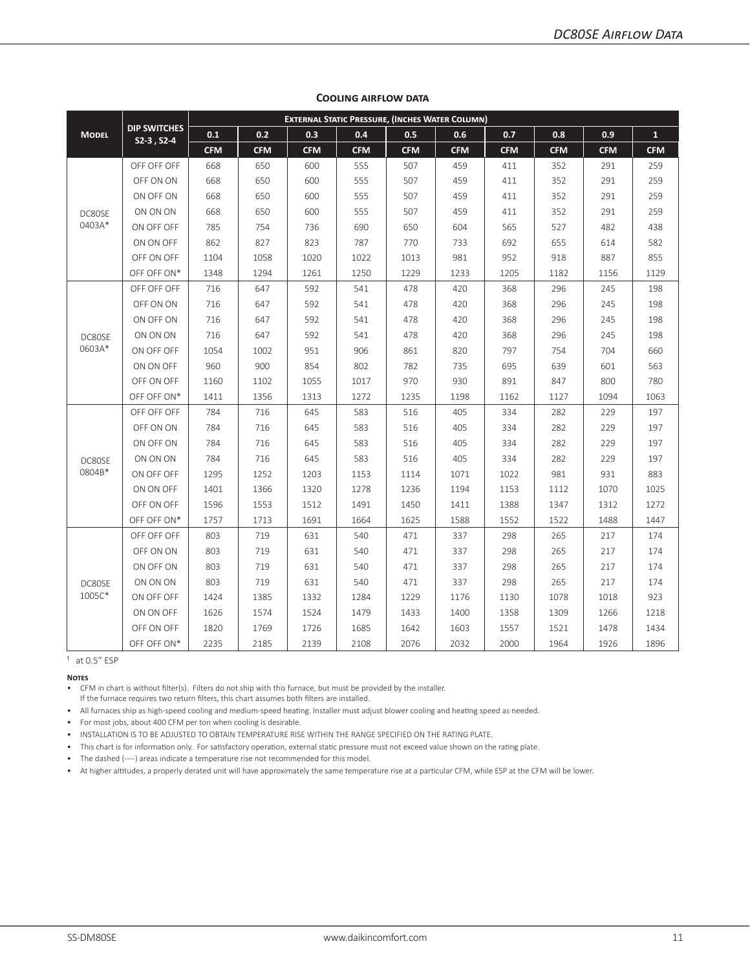|              |                                     | <b>EXTERNAL STATIC PRESSURE, (INCHES WATER COLUMN)</b> |            |            |            |            |            |            |            |            |              |  |  |
|--------------|-------------------------------------|--------------------------------------------------------|------------|------------|------------|------------|------------|------------|------------|------------|--------------|--|--|
| <b>MODEL</b> | <b>DIP SWITCHES</b><br>$S2-3, S2-4$ | 0.1                                                    | 0.2        | 0.3        | 0.4        | 0.5        | 0.6        | 0.7        | 0.8        | 0.9        | $\mathbf{1}$ |  |  |
|              |                                     | <b>CFM</b>                                             | <b>CFM</b> | <b>CFM</b> | <b>CFM</b> | <b>CFM</b> | <b>CFM</b> | <b>CFM</b> | <b>CFM</b> | <b>CFM</b> | <b>CFM</b>   |  |  |
|              | OFF OFF OFF                         | 668                                                    | 650        | 600        | 555        | 507        | 459        | 411        | 352        | 291        | 259          |  |  |
|              | OFF ON ON                           | 668                                                    | 650        | 600        | 555        | 507        | 459        | 411        | 352        | 291        | 259          |  |  |
|              | ON OFF ON                           | 668                                                    | 650        | 600        | 555        | 507        | 459        | 411        | 352        | 291        | 259          |  |  |
| DC80SE       | ON ON ON                            | 668                                                    | 650        | 600        | 555        | 507        | 459        | 411        | 352        | 291        | 259          |  |  |
| 0403A*       | ON OFF OFF                          | 785                                                    | 754        | 736        | 690        | 650        | 604        | 565        | 527        | 482        | 438          |  |  |
|              | ON ON OFF                           | 862                                                    | 827        | 823        | 787        | 770        | 733        | 692        | 655        | 614        | 582          |  |  |
|              | OFF ON OFF                          | 1104                                                   | 1058       | 1020       | 1022       | 1013       | 981        | 952        | 918        | 887        | 855          |  |  |
|              | OFF OFF ON*                         | 1348                                                   | 1294       | 1261       | 1250       | 1229       | 1233       | 1205       | 1182       | 1156       | 1129         |  |  |
|              | OFF OFF OFF                         | 716                                                    | 647        | 592        | 541        | 478        | 420        | 368        | 296        | 245        | 198          |  |  |
|              | OFF ON ON                           | 716                                                    | 647        | 592        | 541        | 478        | 420        | 368        | 296        | 245        | 198          |  |  |
|              | ON OFF ON                           | 716                                                    | 647        | 592        | 541        | 478        | 420        | 368        | 296        | 245        | 198          |  |  |
| DC80SE       | ON ON ON                            | 716                                                    | 647        | 592        | 541        | 478        | 420        | 368        | 296        | 245        | 198          |  |  |
| 0603A*       | ON OFF OFF                          | 1054                                                   | 1002       | 951        | 906        | 861        | 820        | 797        | 754        | 704        | 660          |  |  |
|              | ON ON OFF                           | 960                                                    | 900        | 854        | 802        | 782        | 735        | 695        | 639        | 601        | 563          |  |  |
|              | OFF ON OFF                          | 1160                                                   | 1102       | 1055       | 1017       | 970        | 930        | 891        | 847        | 800        | 780          |  |  |
|              | OFF OFF ON*                         | 1411                                                   | 1356       | 1313       | 1272       | 1235       | 1198       | 1162       | 1127       | 1094       | 1063         |  |  |
|              | OFF OFF OFF                         | 784                                                    | 716        | 645        | 583        | 516        | 405        | 334        | 282        | 229        | 197          |  |  |
|              | OFF ON ON                           | 784                                                    | 716        | 645        | 583        | 516        | 405        | 334        | 282        | 229        | 197          |  |  |
|              | ON OFF ON                           | 784                                                    | 716        | 645        | 583        | 516        | 405        | 334        | 282        | 229        | 197          |  |  |
| DC80SE       | ON ON ON                            | 784                                                    | 716        | 645        | 583        | 516        | 405        | 334        | 282        | 229        | 197          |  |  |
| 0804B*       | ON OFF OFF                          | 1295                                                   | 1252       | 1203       | 1153       | 1114       | 1071       | 1022       | 981        | 931        | 883          |  |  |
|              | ON ON OFF                           | 1401                                                   | 1366       | 1320       | 1278       | 1236       | 1194       | 1153       | 1112       | 1070       | 1025         |  |  |
|              | OFF ON OFF                          | 1596                                                   | 1553       | 1512       | 1491       | 1450       | 1411       | 1388       | 1347       | 1312       | 1272         |  |  |
|              | OFF OFF ON*                         | 1757                                                   | 1713       | 1691       | 1664       | 1625       | 1588       | 1552       | 1522       | 1488       | 1447         |  |  |
|              | OFF OFF OFF                         | 803                                                    | 719        | 631        | 540        | 471        | 337        | 298        | 265        | 217        | 174          |  |  |
|              | OFF ON ON                           | 803                                                    | 719        | 631        | 540        | 471        | 337        | 298        | 265        | 217        | 174          |  |  |
|              | ON OFF ON                           | 803                                                    | 719        | 631        | 540        | 471        | 337        | 298        | 265        | 217        | 174          |  |  |
| DC80SE       | ON ON ON                            | 803                                                    | 719        | 631        | 540        | 471        | 337        | 298        | 265        | 217        | 174          |  |  |
| 1005C*       | ON OFF OFF                          | 1424                                                   | 1385       | 1332       | 1284       | 1229       | 1176       | 1130       | 1078       | 1018       | 923          |  |  |
|              | ON ON OFF                           | 1626                                                   | 1574       | 1524       | 1479       | 1433       | 1400       | 1358       | 1309       | 1266       | 1218         |  |  |
|              | OFF ON OFF                          | 1820                                                   | 1769       | 1726       | 1685       | 1642       | 1603       | 1557       | 1521       | 1478       | 1434         |  |  |
|              | OFF OFF ON*                         | 2235                                                   | 2185       | 2139       | 2108       | 2076       | 2032       | 2000       | 1964       | 1926       | 1896         |  |  |

#### **Cooling airflow data**

 $1$  at 0.5" ESP

**Notes**

• CFM in chart is without filter(s). Filters do not ship with this furnace, but must be provided by the installer.

If the furnace requires two return filters, this chart assumes both filters are installed.

• All furnaces ship as high-speed cooling and medium-speed heating. Installer must adjust blower cooling and heating speed as needed.

• For most jobs, about 400 CFM per ton when cooling is desirable.

• INSTALLATION IS TO BE ADJUSTED TO OBTAIN TEMPERATURE RISE WITHIN THE RANGE SPECIFIED ON THE RATING PLATE.

• This chart is for information only. For satisfactory operation, external static pressure must not exceed value shown on the rating plate.

• The dashed (----) areas indicate a temperature rise not recommended for this model.

• At higher altitudes, a properly derated unit will have approximately the same temperature rise at a particular CFM, while ESP at the CFM will be lower.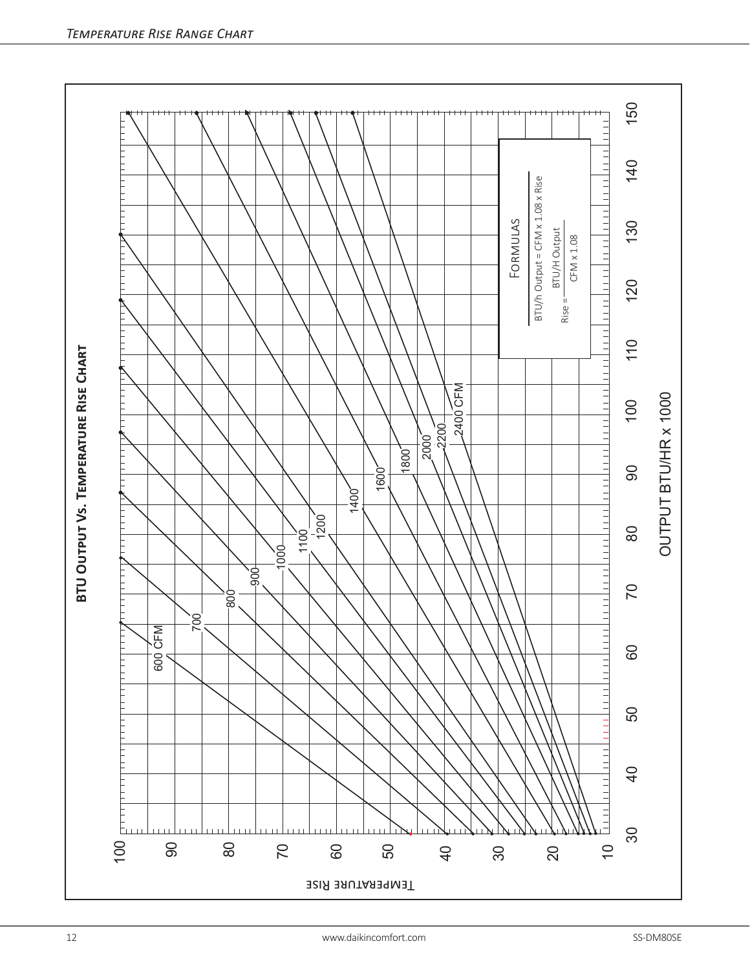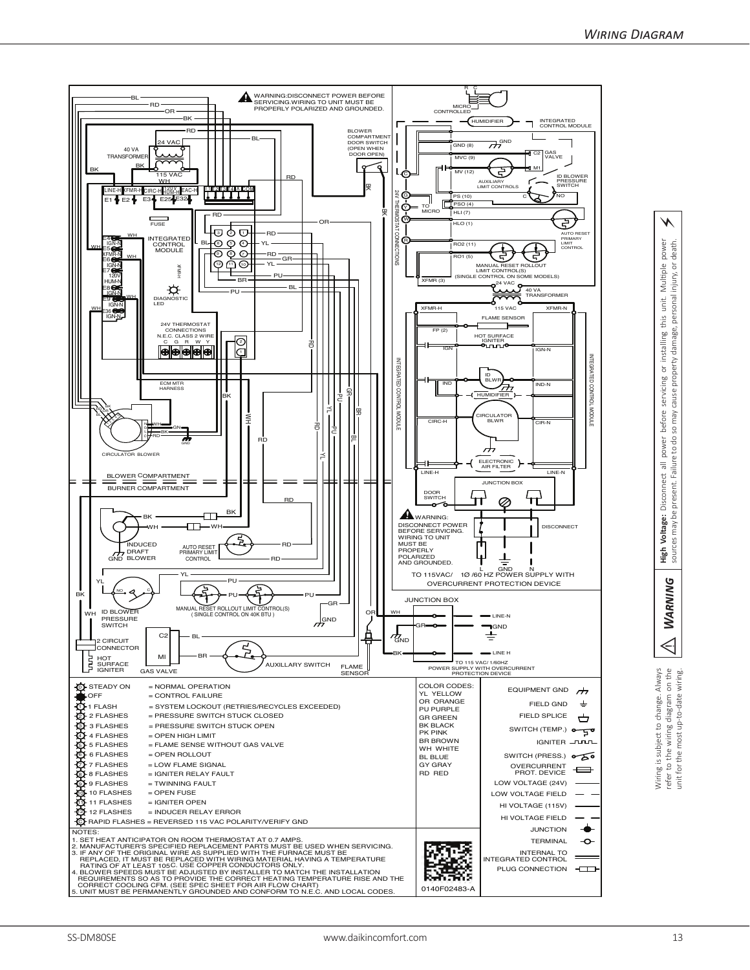



⚡

Wiring is subject to change. Always<br>refer to the wiring diagram on the<br>unit for the most up-to-date wiring.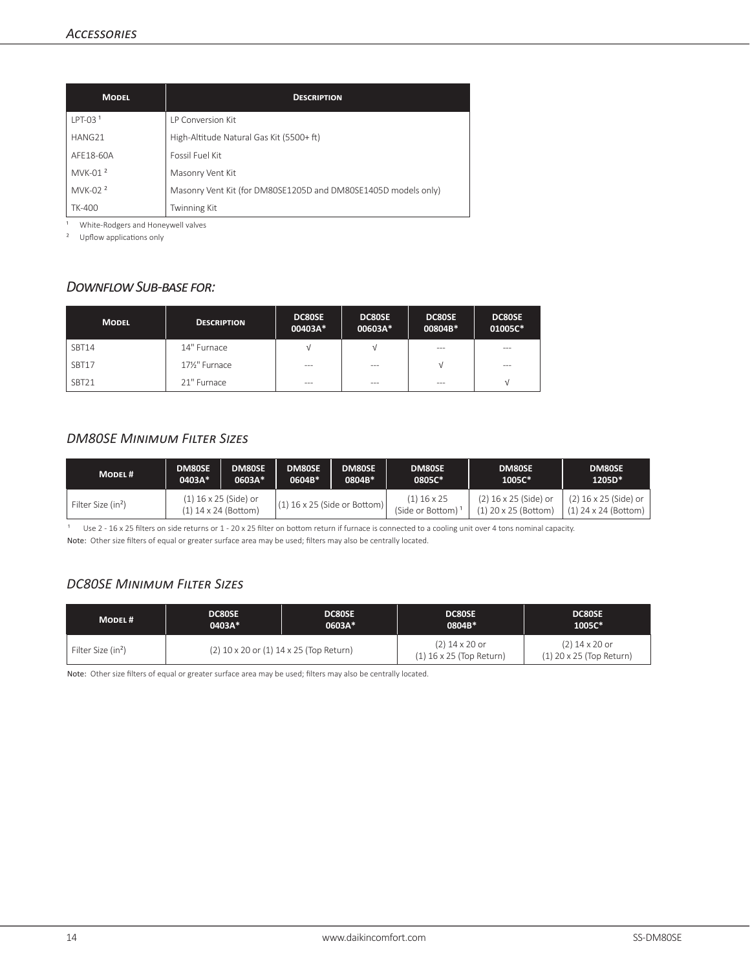| <b>MODEL</b>        | <b>DESCRIPTION</b>                                             |
|---------------------|----------------------------------------------------------------|
| $LPT-031$           | <b>IP Conversion Kit</b>                                       |
| HANG21              | High-Altitude Natural Gas Kit (5500+ ft)                       |
| AFF18-60A           | Fossil Fuel Kit                                                |
| MVK-01 <sup>2</sup> | Masonry Vent Kit                                               |
| MVK-02 <sup>2</sup> | Masonry Vent Kit (for DM80SE1205D and DM80SE1405D models only) |
| <b>TK-400</b>       | <b>Twinning Kit</b>                                            |

<sup>1</sup> White-Rodgers and Honeywell valves

² Upflow applications only

#### *Downflow Sub-base for:*

| <b>MODEL</b> | <b>DESCRIPTION</b> | DC80SE<br>00403A* | DC80SE<br>00603A* | DC80SE<br>00804B* | DC80SE<br>01005C* |
|--------------|--------------------|-------------------|-------------------|-------------------|-------------------|
| SBT14        | 14" Furnace        | ν                 | V                 | $- - -$           | $- - -$           |
| SBT17        | 171/2" Furnace     | $- - -$           | $- - -$           | V                 | $- - -$           |
| SBT21        | 21" Furnace        | $- - -$           | $- - -$           | ---               |                   |

#### *DM80SE Minimum Filter Sizes*

| MODEL #                        | <b>DM80SE</b>                                   | <b>DM80SE</b> | <b>DM80SE</b>                  | DM80SE | <b>DM80SE</b>                     | DM80SE                                          | DM80SE                                        |
|--------------------------------|-------------------------------------------------|---------------|--------------------------------|--------|-----------------------------------|-------------------------------------------------|-----------------------------------------------|
|                                | 0403A*                                          | 0603A*        | 0604B*                         | 0804B* | 0805C*                            | 1005C*                                          | 1205D*                                        |
| Filter Size (in <sup>2</sup> ) | (1) 16 x 25 (Side) or<br>$(1)$ 14 x 24 (Bottom) |               | $(1)$ 16 x 25 (Side or Bottom) |        | $(1)$ 16 x 25<br>(Side or Bottom) | (2) 16 x 25 (Side) or<br>$(1)$ 20 x 25 (Bottom) | (2) 16 x 25 (Side) or<br>(1) 24 x 24 (Bottom) |

Use 2 - 16 x 25 filters on side returns or 1 - 20 x 25 filter on bottom return if furnace is connected to a cooling unit over 4 tons nominal capacity. Note: Other size filters of equal or greater surface area may be used; filters may also be centrally located.

#### *DC80SE Minimum Filter Sizes*

| MODEL#                         | <b>DC80SE</b>                           | <b>DC80SE</b> | <b>DC80SE</b>                                  | <b>DC80SE</b>                              |  |
|--------------------------------|-----------------------------------------|---------------|------------------------------------------------|--------------------------------------------|--|
|                                | 0403A*                                  | 0603A*        | 0804B*                                         | 1005C*                                     |  |
| Filter Size (in <sup>2</sup> ) | (2) 10 x 20 or (1) 14 x 25 (Top Return) |               | $(2)$ 14 x 20 or<br>$(1)$ 16 x 25 (Top Return) | (2) 14 x 20 or<br>(1) 20 x 25 (Top Return) |  |

Note: Other size filters of equal or greater surface area may be used; filters may also be centrally located.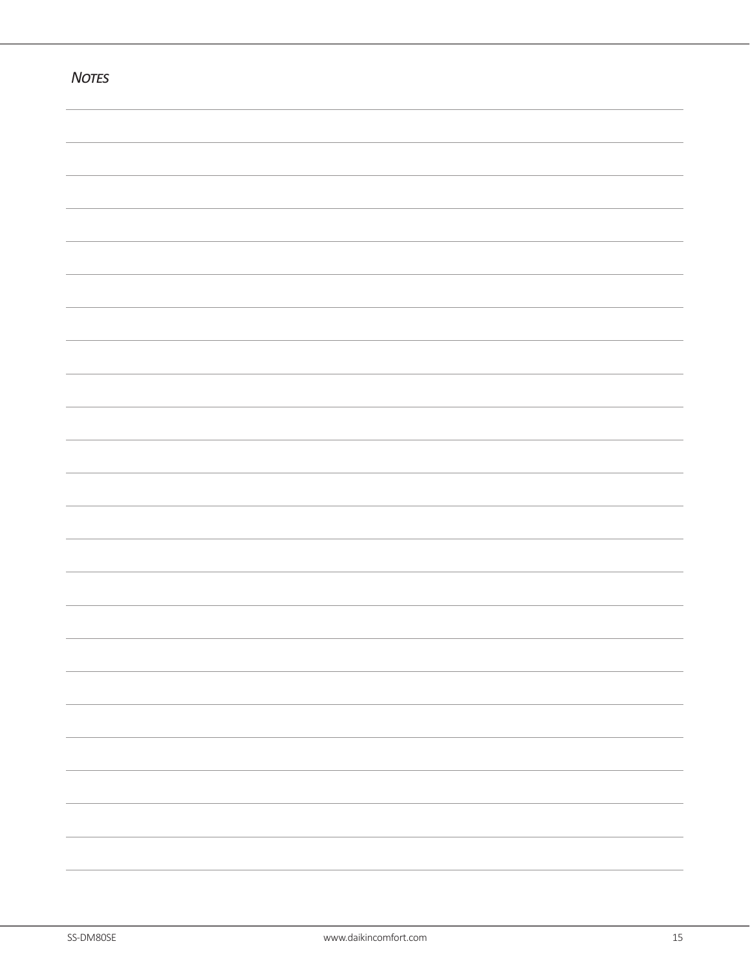| <b>NOTES</b> |  |
|--------------|--|
|              |  |
|              |  |
|              |  |
|              |  |
|              |  |
|              |  |
|              |  |
|              |  |
|              |  |
|              |  |
|              |  |
|              |  |
|              |  |
|              |  |
|              |  |
|              |  |
|              |  |
|              |  |
|              |  |
|              |  |
|              |  |
|              |  |
|              |  |